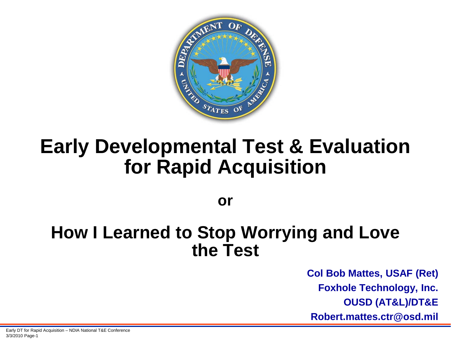

## **Early Developmental Test & Evaluation for Rapid Acquisition**

**or**

#### **How I Learned to Stop Worrying and Love the Test**

**Col Bob Mattes, USAF (Ret) Foxhole Technology, Inc. OUSD (AT&L)/DT&E Robert.mattes.ctr@osd.mil**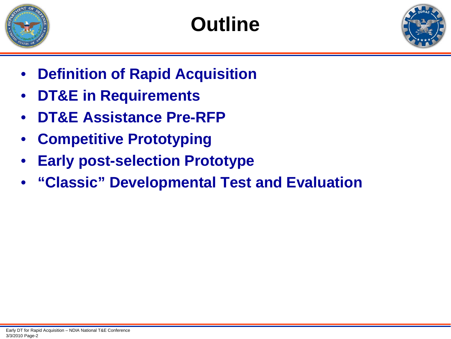





- **Definition of Rapid Acquisition**
- **DT&E in Requirements**
- **DT&E Assistance Pre-RFP**
- **Competitive Prototyping**
- **Early post-selection Prototype**
- **"Classic" Developmental Test and Evaluation**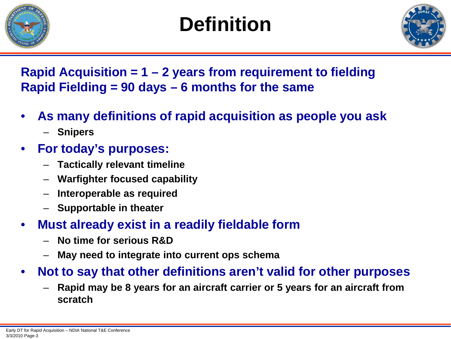

# **Definition**



**Rapid Acquisition = 1 – 2 years from requirement to fielding Rapid Fielding = 90 days – 6 months for the same**

- **As many definitions of rapid acquisition as people you ask**
	- **Snipers**
- **For today's purposes:**
	- **Tactically relevant timeline**
	- **Warfighter focused capability**
	- **Interoperable as required**
	- **Supportable in theater**
- **Must already exist in a readily fieldable form**
	- **No time for serious R&D**
	- **May need to integrate into current ops schema**
- **Not to say that other definitions aren't valid for other purposes**
	- **Rapid may be 8 years for an aircraft carrier or 5 years for an aircraft from scratch**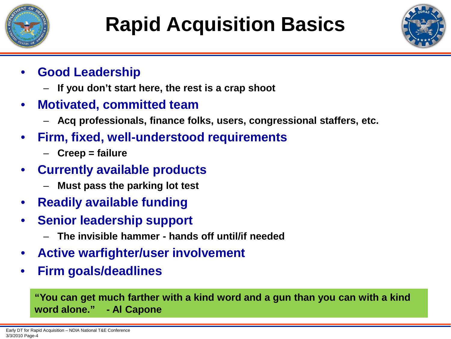



- **Good Leadership**
	- **If you don't start here, the rest is a crap shoot**
- **Motivated, committed team**
	- **Acq professionals, finance folks, users, congressional staffers, etc.**
- **Firm, fixed, well-understood requirements**
	- **Creep = failure**
- **Currently available products**
	- **Must pass the parking lot test**
- **Readily available funding**
- **Senior leadership support**
	- **The invisible hammer - hands off until/if needed**
- **Active warfighter/user involvement**
- **Firm goals/deadlines**

**"You can get much farther with a kind word and a gun than you can with a kind word alone." - Al Capone**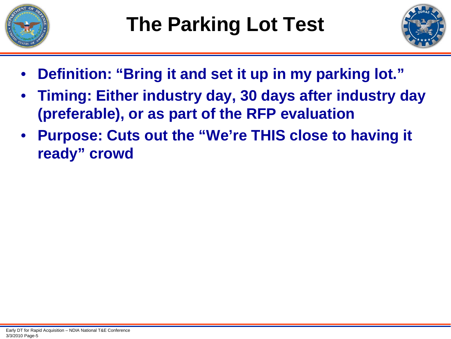



- **Definition: "Bring it and set it up in my parking lot."**
- **Timing: Either industry day, 30 days after industry day (preferable), or as part of the RFP evaluation**
- **Purpose: Cuts out the "We're THIS close to having it ready" crowd**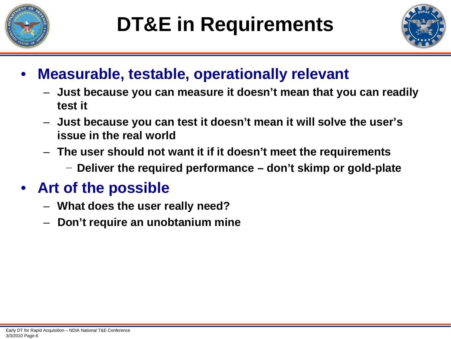



#### • **Measurable, testable, operationally relevant**

- **Just because you can measure it doesn't mean that you can readily test it**
- **Just because you can test it doesn't mean it will solve the user's issue in the real world**
- **The user should not want it if it doesn't meet the requirements**
	- − **Deliver the required performance – don't skimp or gold-plate**

## • **Art of the possible**

- **What does the user really need?**
- **Don't require an unobtanium mine**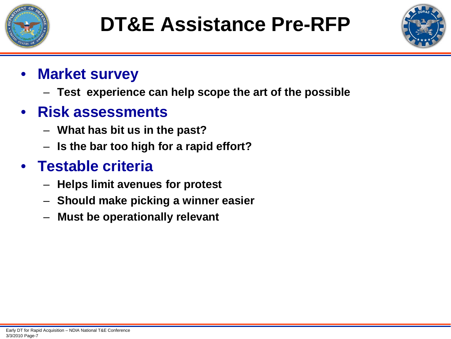



#### • **Market survey**

– **Test experience can help scope the art of the possible**

#### • **Risk assessments**

- **What has bit us in the past?**
- **Is the bar too high for a rapid effort?**

### • **Testable criteria**

- **Helps limit avenues for protest**
- **Should make picking a winner easier**
- **Must be operationally relevant**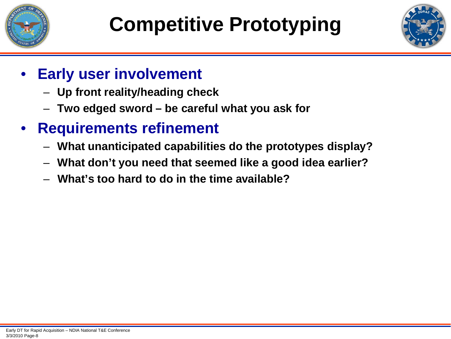



- **Early user involvement**
	- **Up front reality/heading check**
	- **Two edged sword – be careful what you ask for**
- **Requirements refinement**
	- **What unanticipated capabilities do the prototypes display?**
	- **What don't you need that seemed like a good idea earlier?**
	- **What's too hard to do in the time available?**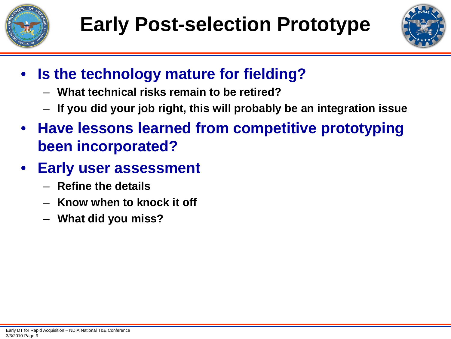



- **Is the technology mature for fielding?**
	- **What technical risks remain to be retired?**
	- **If you did your job right, this will probably be an integration issue**
- **Have lessons learned from competitive prototyping been incorporated?**
- **Early user assessment**
	- **Refine the details**
	- **Know when to knock it off**
	- **What did you miss?**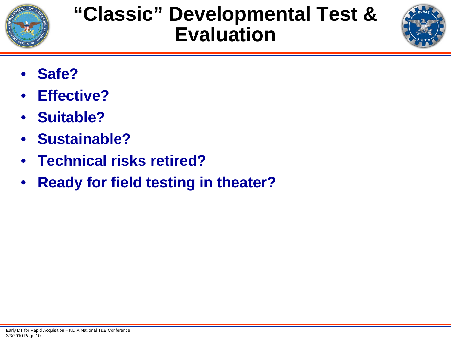

# **"Classic" Developmental Test & Evaluation**



- **Safe?**
- **Effective?**
- **Suitable?**
- **Sustainable?**
- **Technical risks retired?**
- **Ready for field testing in theater?**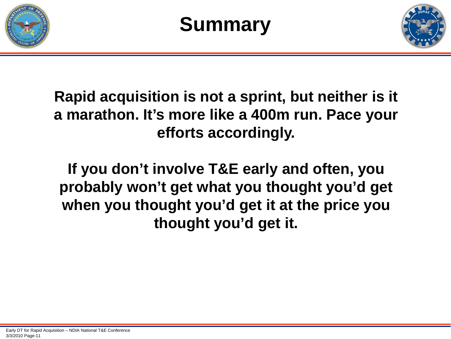





**Rapid acquisition is not a sprint, but neither is it a marathon. It's more like a 400m run. Pace your efforts accordingly.**

**If you don't involve T&E early and often, you probably won't get what you thought you'd get when you thought you'd get it at the price you thought you'd get it.**